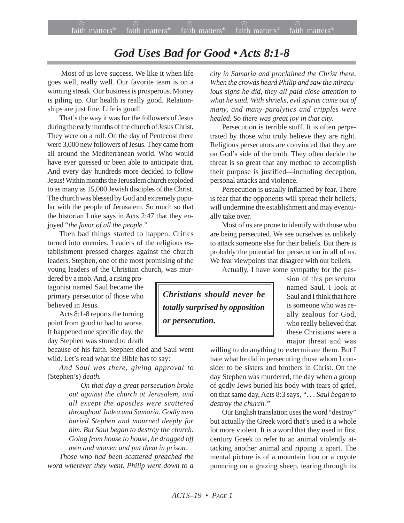## *God Uses Bad for Good • Acts 8:1-8*

 Most of us love success. We like it when life goes well, really well. Our favorite team is on a winning streak. Our business is prosperous. Money is piling up. Our health is really good. Relationships are just fine. Life is good!

That's the way it was for the followers of Jesus during the early months of the church of Jesus Christ. They were on a roll. On the day of Pentecost there were 3,000 new followers of Jesus. They came from all around the Mediterranean world. Who would have ever guessed or been able to anticipate that. And every day hundreds more decided to follow Jesus! Within months the Jerusalem church exploded to as many as 15,000 Jewish disciples of the Christ. The church was blessed by God and extremely popular with the people of Jerusalem. So much so that the historian Luke says in Acts 2:47 that they enjoyed "*the favor of all the people*."

Then bad things started to happen. Critics turned into enemies. Leaders of the religious establishment pressed charges against the church leaders. Stephen, one of the most promising of the young leaders of the Christian church, was mur-

dered by a mob. And, a rising protagonist named Saul became the primary persecutor of those who believed in Jesus.

Acts 8:1-8 reports the turning point from good to bad to worse. It happened one specific day, the day Stephen was stoned to death

because of his faith. Stephen died and Saul went wild. Let's read what the Bible has to say:

*And Saul was there, giving approval to* (Stephen's) *death.*

> *On that day a great persecution broke out against the church at Jerusalem, and all except the apostles were scattered throughout Judea and Samaria. Godly men buried Stephen and mourned deeply for him. But Saul began to destroy the church. Going from house to house, he dragged off men and women and put them in prison.*

*Those who had been scattered preached the word wherever they went. Philip went down to a* *city in Samaria and proclaimed the Christ there. When the crowds heard Philip and saw the miraculous signs he did, they all paid close attention to what he said. With shrieks, evil spirits came out of many, and many paralytics and cripples were healed. So there was great joy in that city.*

Persecution is terrible stuff. It is often perpetrated by those who truly believe they are right. Religious persecutors are convinced that they are on God's side of the truth. They often decide the threat is so great that any method to accomplish their purpose is justified—including deception, personal attacks and violence.

Persecution is usually inflamed by fear. There is fear that the opponents will spread their beliefs, will undermine the establishment and may eventually take over.

Most of us are prone to identify with those who are being persecuted. We see ourselves as unlikely to attack someone else for their beliefs. But there is probably the potential for persecution in all of us. We fear viewpoints that disagree with our beliefs.

Actually, I have some sympathy for the pas-

*Christians should never be totally surprised by opposition or persecution.*

sion of this persecutor named Saul. I look at Saul and I think that here is someone who was really zealous for God, who really believed that these Christians were a major threat and was

willing to do anything to exterminate them. But I hate what he did in persecuting those whom I consider to be sisters and brothers in Christ. On the day Stephen was murdered, the day when a group of godly Jews buried his body with tears of grief, on that same day, Acts 8:3 says, *". . . Saul began to destroy the church."*

Our English translation uses the word "destroy" but actually the Greek word that's used is a whole lot more violent. It is a word that they used in first century Greek to refer to an animal violently attacking another animal and ripping it apart. The mental picture is of a mountain lion or a coyote pouncing on a grazing sheep, tearing through its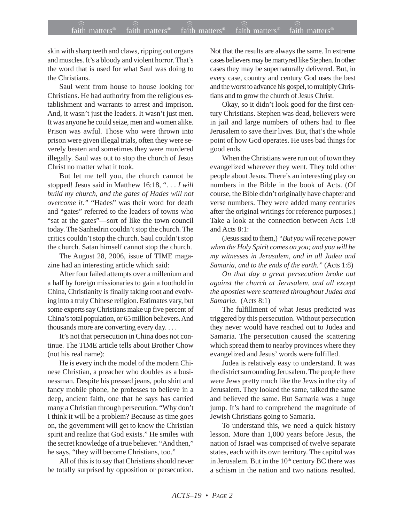## $f$ aith matters® staith matters® staith matters® staith matters® staith matters® faith matters<sup>®</sup> ))) )))

skin with sharp teeth and claws, ripping out organs and muscles. It's a bloody and violent horror. That's the word that is used for what Saul was doing to the Christians.

Saul went from house to house looking for Christians. He had authority from the religious establishment and warrants to arrest and imprison. And, it wasn't just the leaders. It wasn't just men. It was anyone he could seize, men and women alike. Prison was awful. Those who were thrown into prison were given illegal trials, often they were severely beaten and sometimes they were murdered illegally. Saul was out to stop the church of Jesus Christ no matter what it took.

But let me tell you, the church cannot be stopped! Jesus said in Matthew 16:18, ". . . *I will build my church, and the gates of Hades will not overcome it."* "Hades" was their word for death and "gates" referred to the leaders of towns who "sat at the gates"—sort of like the town council today. The Sanhedrin couldn't stop the church. The critics couldn't stop the church. Saul couldn't stop the church. Satan himself cannot stop the church.

The August 28, 2006, issue of TIME magazine had an interesting article which said:

After four failed attempts over a millenium and a half by foreign missionaries to gain a foothold in China, Christianity is finally taking root and evolving into a truly Chinese religion. Estimates vary, but some experts say Christians make up five percent of China's total population, or 65 million believers. And thousands more are converting every day. . . .

It's not that persecution in China does not continue. The TIME article tells about Brother Chow (not his real name):

He is every inch the model of the modern Chinese Christian, a preacher who doubles as a businessman. Despite his pressed jeans, polo shirt and fancy mobile phone, he professes to believe in a deep, ancient faith, one that he says has carried many a Christian through persecution. "Why don't I think it will be a problem? Because as time goes on, the government will get to know the Christian spirit and realize that God exists." He smiles with the secret knowledge of a true believer. "And then," he says, "they will become Christians, too."

All of this is to say that Christians should never be totally surprised by opposition or persecution. Not that the results are always the same. In extreme cases believers may be martyred like Stephen. In other cases they may be supernaturally delivered. But, in every case, country and century God uses the best and the worst to advance his gospel, to multiply Christians and to grow the church of Jesus Christ.

Okay, so it didn't look good for the first century Christians. Stephen was dead, believers were in jail and large numbers of others had to flee Jerusalem to save their lives. But, that's the whole point of how God operates. He uses bad things for good ends.

When the Christians were run out of town they evangelized wherever they went. They told other people about Jesus. There's an interesting play on numbers in the Bible in the book of Acts. (Of course, the Bible didn't originally have chapter and verse numbers. They were added many centuries after the original writings for reference purposes.) Take a look at the connection between Acts 1:8 and Acts 8:1:

(Jesus said to them,) *"But you will receive power when the Holy Spirit comes on you; and you will be my witnesses in Jerusalem, and in all Judea and Samaria, and to the ends of the earth."* (Acts 1:8)

*On that day a great persecution broke out against the church at Jerusalem, and all except the apostles were scattered throughout Judea and Samaria.* (Acts 8:1)

The fulfillment of what Jesus predicted was triggered by this persecution. Without persecution they never would have reached out to Judea and Samaria. The persecution caused the scattering which spread them to nearby provinces where they evangelized and Jesus' words were fulfilled.

Judea is relatively easy to understand. It was the district surrounding Jerusalem. The people there were Jews pretty much like the Jews in the city of Jerusalem. They looked the same, talked the same and believed the same. But Samaria was a huge jump. It's hard to comprehend the magnitude of Jewish Christians going to Samaria.

To understand this, we need a quick history lesson. More than 1,000 years before Jesus, the nation of Israel was comprised of twelve separate states, each with its own territory. The capitol was in Jerusalem. But in the  $10<sup>th</sup>$  century BC there was a schism in the nation and two nations resulted.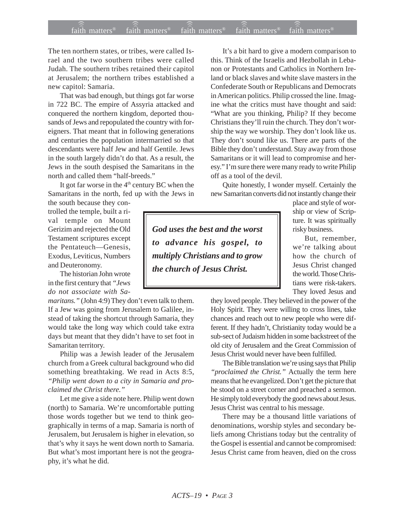## $f$ aith matters® staith matters® staith matters® staith matters® staith matters® faith matters<sup>®</sup> ))) )))

The ten northern states, or tribes, were called Israel and the two southern tribes were called Judah. The southern tribes retained their capitol at Jerusalem; the northern tribes established a new capitol: Samaria.

That was bad enough, but things got far worse in 722 BC. The empire of Assyria attacked and conquered the northern kingdom, deported thousands of Jews and repopulated the country with foreigners. That meant that in following generations and centuries the population intermarried so that descendants were half Jew and half Gentile. Jews in the south largely didn't do that. As a result, the Jews in the south despised the Samaritans in the north and called them "half-breeds."

It got far worse in the  $4<sup>th</sup>$  century BC when the Samaritans in the north, fed up with the Jews in

the south because they controlled the temple, built a rival temple on Mount Gerizim and rejected the Old Testament scriptures except the Pentateuch—Genesis, Exodus, Leviticus, Numbers and Deuteronomy.

The historian John wrote in the first century that *"Jews do not associate with Sa-*

*maritans."* (John 4:9) They don't even talk to them. If a Jew was going from Jerusalem to Galilee, instead of taking the shortcut through Samaria, they would take the long way which could take extra days but meant that they didn't have to set foot in Samaritan territory.

Philip was a Jewish leader of the Jerusalem church from a Greek cultural background who did something breathtaking. We read in Acts 8:5, *"Philip went down to a city in Samaria and proclaimed the Christ there."*

Let me give a side note here. Philip went down (north) to Samaria. We're uncomfortable putting those words together but we tend to think geographically in terms of a map. Samaria is north of Jerusalem, but Jerusalem is higher in elevation, so that's why it says he went down north to Samaria. But what's most important here is not the geography, it's what he did.

It's a bit hard to give a modern comparison to this. Think of the Israelis and Hezbollah in Lebanon or Protestants and Catholics in Northern Ireland or black slaves and white slave masters in the Confederate South or Republicans and Democrats in American politics. Philip crossed the line. Imagine what the critics must have thought and said: "What are you thinking, Philip? If they become Christians they'll ruin the church. They don't worship the way we worship. They don't look like us. They don't sound like us. There are parts of the Bible they don't understand. Stay away from those Samaritans or it will lead to compromise and heresy." I'm sure there were many ready to write Philip off as a tool of the devil.

Quite honestly, I wonder myself. Certainly the new Samaritan converts did not instantly change their

*God uses the best and the worst to advance his gospel, to multiply Christians and to grow the church of Jesus Christ.*

place and style of worship or view of Scripture. It was spiritually risky business.

But, remember, we're talking about how the church of Jesus Christ changed the world. Those Christians were risk-takers. They loved Jesus and

they loved people. They believed in the power of the Holy Spirit. They were willing to cross lines, take chances and reach out to new people who were different. If they hadn't, Christianity today would be a sub-sect of Judaism hidden in some backstreet of the old city of Jerusalem and the Great Commission of Jesus Christ would never have been fulfilled.

The Bible translation we're using says that Philip *"proclaimed the Christ."* Actually the term here means that he evangelized. Don't get the picture that he stood on a street corner and preached a sermon. He simply told everybody the good news about Jesus. Jesus Christ was central to his message.

There may be a thousand little variations of denominations, worship styles and secondary beliefs among Christians today but the centrality of the Gospel is essential and cannot be compromised: Jesus Christ came from heaven, died on the cross